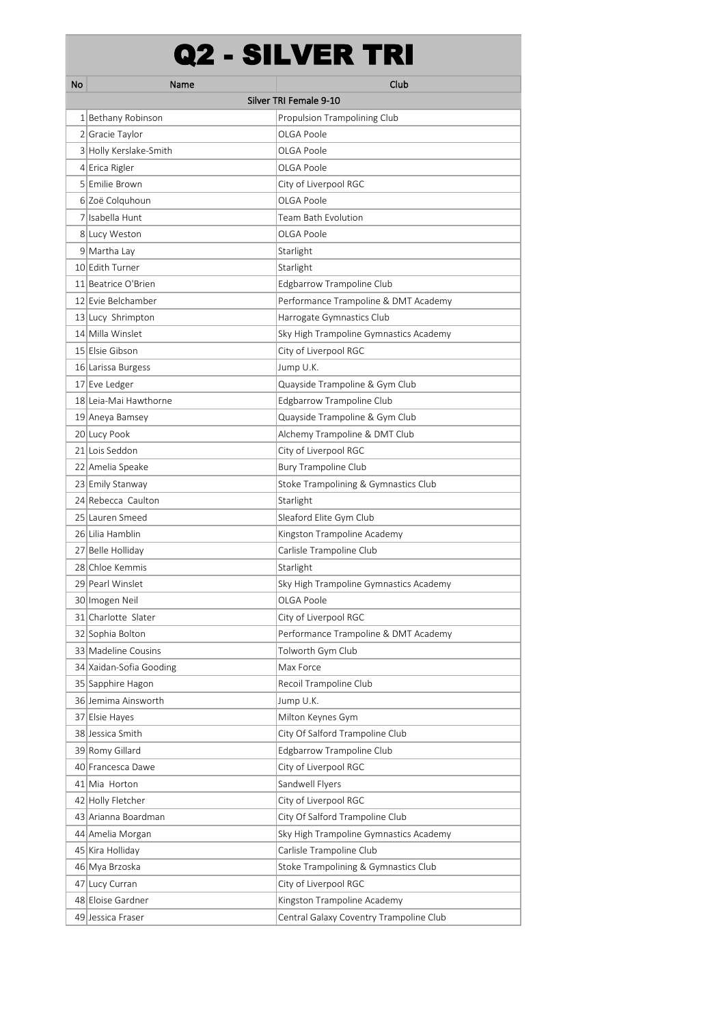## Q2 - SILVER TRI

| No | Name                    | Club                                    |
|----|-------------------------|-----------------------------------------|
|    |                         | Silver TRI Female 9-10                  |
|    | 1 Bethany Robinson      | Propulsion Trampolining Club            |
|    | 2 Gracie Taylor         | OLGA Poole                              |
|    | 3 Holly Kerslake-Smith  | OLGA Poole                              |
|    | 4 Erica Rigler          | OLGA Poole                              |
|    | 5 Emilie Brown          | City of Liverpool RGC                   |
|    | 6 Zoë Colquhoun         | OLGA Poole                              |
|    | 7 Isabella Hunt         | Team Bath Evolution                     |
|    | 8 Lucy Weston           | OLGA Poole                              |
|    | 9 Martha Lay            | Starlight                               |
|    | 10 Edith Turner         | Starlight                               |
|    | 11 Beatrice O'Brien     | Edgbarrow Trampoline Club               |
|    | 12 Evie Belchamber      | Performance Trampoline & DMT Academy    |
|    | 13 Lucy Shrimpton       | Harrogate Gymnastics Club               |
|    | 14 Milla Winslet        | Sky High Trampoline Gymnastics Academy  |
|    | 15 Elsie Gibson         | City of Liverpool RGC                   |
|    | 16 Larissa Burgess      | Jump U.K.                               |
|    | 17 Eve Ledger           | Quayside Trampoline & Gym Club          |
|    | 18 Leia-Mai Hawthorne   | Edgbarrow Trampoline Club               |
|    | 19 Aneya Bamsey         | Quayside Trampoline & Gym Club          |
|    | 20 Lucy Pook            | Alchemy Trampoline & DMT Club           |
|    | 21 Lois Seddon          | City of Liverpool RGC                   |
|    | 22 Amelia Speake        | <b>Bury Trampoline Club</b>             |
|    | 23 Emily Stanway        | Stoke Trampolining & Gymnastics Club    |
|    | 24 Rebecca Caulton      | Starlight                               |
|    | 25 Lauren Smeed         | Sleaford Elite Gym Club                 |
|    | 26 Lilia Hamblin        | Kingston Trampoline Academy             |
|    | 27 Belle Holliday       | Carlisle Trampoline Club                |
|    | 28 Chloe Kemmis         | Starlight                               |
|    | 29 Pearl Winslet        | Sky High Trampoline Gymnastics Academy  |
|    | 30 Imogen Neil          | OLGA Poole                              |
|    | 31 Charlotte Slater     | City of Liverpool RGC                   |
|    | 32 Sophia Bolton        | Performance Trampoline & DMT Academy    |
|    | 33 Madeline Cousins     | Tolworth Gym Club                       |
|    | 34 Xaidan-Sofia Gooding | Max Force                               |
|    | 35 Sapphire Hagon       | Recoil Trampoline Club                  |
|    | 36 Jemima Ainsworth     | Jump U.K.                               |
|    | 37 Elsie Hayes          | Milton Keynes Gym                       |
|    | 38 Jessica Smith        | City Of Salford Trampoline Club         |
|    | 39 Romy Gillard         | Edgbarrow Trampoline Club               |
|    | 40 Francesca Dawe       | City of Liverpool RGC                   |
|    | 41 Mia Horton           | Sandwell Flyers                         |
|    | 42 Holly Fletcher       | City of Liverpool RGC                   |
|    | 43 Arianna Boardman     | City Of Salford Trampoline Club         |
|    | 44 Amelia Morgan        | Sky High Trampoline Gymnastics Academy  |
|    | 45 Kira Holliday        | Carlisle Trampoline Club                |
|    | 46 Mya Brzoska          | Stoke Trampolining & Gymnastics Club    |
|    | 47 Lucy Curran          | City of Liverpool RGC                   |
|    | 48 Eloise Gardner       | Kingston Trampoline Academy             |
|    | 49 Jessica Fraser       | Central Galaxy Coventry Trampoline Club |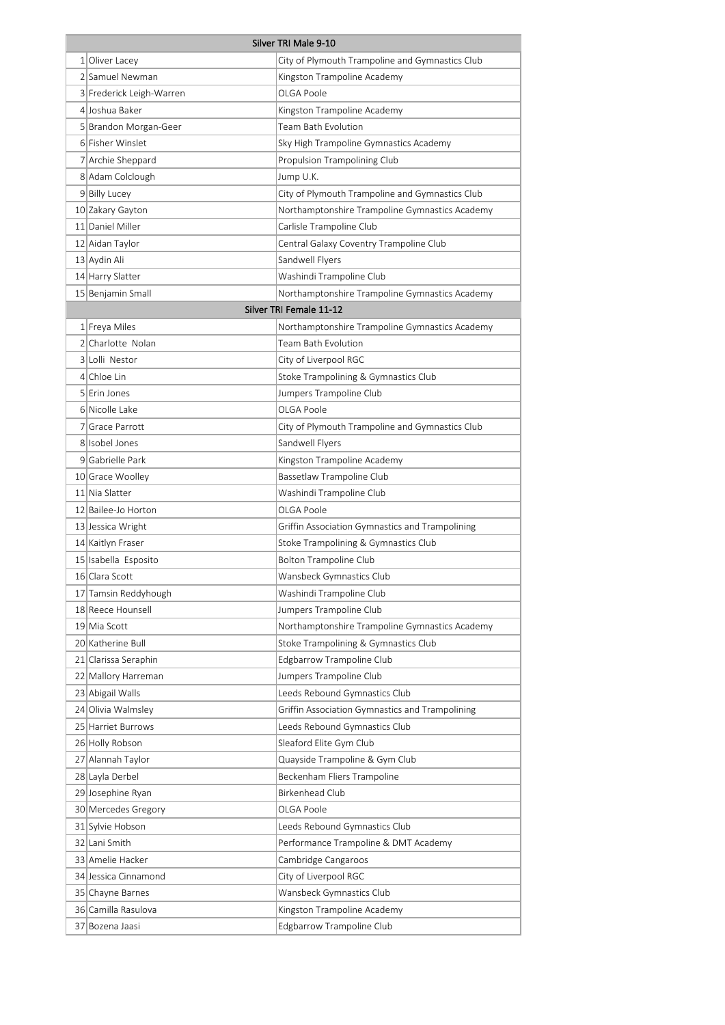| Silver TRI Male 9-10     |                                                 |  |
|--------------------------|-------------------------------------------------|--|
| 1 Oliver Lacey           | City of Plymouth Trampoline and Gymnastics Club |  |
| 2 Samuel Newman          | Kingston Trampoline Academy                     |  |
| 3 Frederick Leigh-Warren | OLGA Poole                                      |  |
| 4 Joshua Baker           | Kingston Trampoline Academy                     |  |
| 5 Brandon Morgan-Geer    | Team Bath Evolution                             |  |
| 6 Fisher Winslet         | Sky High Trampoline Gymnastics Academy          |  |
| 7 Archie Sheppard        | <b>Propulsion Trampolining Club</b>             |  |
| 8 Adam Colclough         | Jump U.K.                                       |  |
| 9 Billy Lucey            | City of Plymouth Trampoline and Gymnastics Club |  |
| 10 Zakary Gayton         | Northamptonshire Trampoline Gymnastics Academy  |  |
| 11 Daniel Miller         | Carlisle Trampoline Club                        |  |
| 12 Aidan Taylor          | Central Galaxy Coventry Trampoline Club         |  |
| 13 Aydin Ali             | Sandwell Flyers                                 |  |
| 14 Harry Slatter         | Washindi Trampoline Club                        |  |
| 15 Benjamin Small        | Northamptonshire Trampoline Gymnastics Academy  |  |
|                          | Silver TRI Female 11-12                         |  |
| 1 Freya Miles            | Northamptonshire Trampoline Gymnastics Academy  |  |
| 2 Charlotte Nolan        | Team Bath Evolution                             |  |
| 3 Lolli Nestor           | City of Liverpool RGC                           |  |
| 4 Chloe Lin              | Stoke Trampolining & Gymnastics Club            |  |
| 5 Erin Jones             | Jumpers Trampoline Club                         |  |
| 6 Nicolle Lake           | OLGA Poole                                      |  |
| 7 Grace Parrott          | City of Plymouth Trampoline and Gymnastics Club |  |
| 8 Isobel Jones           | Sandwell Flyers                                 |  |
| 9 Gabrielle Park         | Kingston Trampoline Academy                     |  |
| 10 Grace Woolley         | Bassetlaw Trampoline Club                       |  |
| 11 Nia Slatter           | Washindi Trampoline Club                        |  |
| 12 Bailee-Jo Horton      | OLGA Poole                                      |  |
| 13 Jessica Wright        | Griffin Association Gymnastics and Trampolining |  |
| 14 Kaitlyn Fraser        | Stoke Trampolining & Gymnastics Club            |  |
| 15 Isabella Esposito     | <b>Bolton Trampoline Club</b>                   |  |
| 16 Clara Scott           | Wansbeck Gymnastics Club                        |  |
| 17 Tamsin Reddyhough     | Washindi Trampoline Club                        |  |
| 18 Reece Hounsell        | Jumpers Trampoline Club                         |  |
| 19 Mia Scott             | Northamptonshire Trampoline Gymnastics Academy  |  |
| 20 Katherine Bull        | Stoke Trampolining & Gymnastics Club            |  |
| 21 Clarissa Seraphin     | Edgbarrow Trampoline Club                       |  |
| 22 Mallory Harreman      | Jumpers Trampoline Club                         |  |
| 23 Abigail Walls         | Leeds Rebound Gymnastics Club                   |  |
| 24 Olivia Walmsley       | Griffin Association Gymnastics and Trampolining |  |
| 25 Harriet Burrows       | Leeds Rebound Gymnastics Club                   |  |
| 26 Holly Robson          | Sleaford Elite Gym Club                         |  |
| 27 Alannah Taylor        | Quayside Trampoline & Gym Club                  |  |
| 28 Layla Derbel          | Beckenham Fliers Trampoline                     |  |
| 29 Josephine Ryan        | Birkenhead Club                                 |  |
| 30 Mercedes Gregory      | OLGA Poole                                      |  |
| 31 Sylvie Hobson         | Leeds Rebound Gymnastics Club                   |  |
| 32 Lani Smith            | Performance Trampoline & DMT Academy            |  |
| 33 Amelie Hacker         | Cambridge Cangaroos                             |  |
| 34 Jessica Cinnamond     | City of Liverpool RGC                           |  |
| 35 Chayne Barnes         | Wansbeck Gymnastics Club                        |  |
| 36 Camilla Rasulova      | Kingston Trampoline Academy                     |  |
| 37 Bozena Jaasi          | Edgbarrow Trampoline Club                       |  |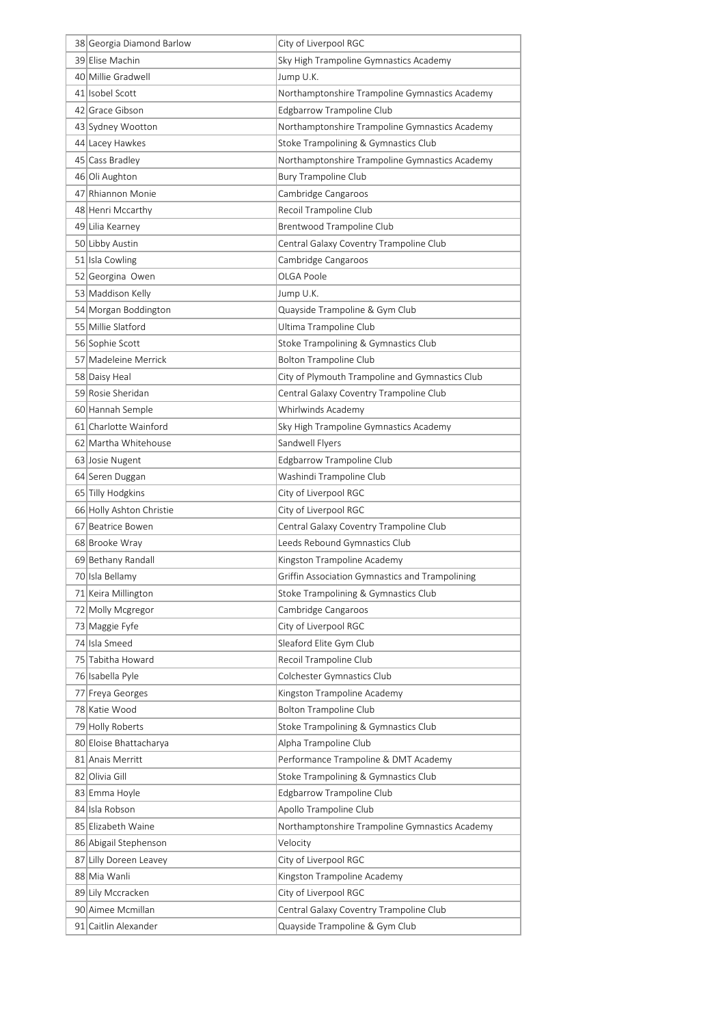| 38 Georgia Diamond Barlow | City of Liverpool RGC                           |
|---------------------------|-------------------------------------------------|
| 39 Elise Machin           | Sky High Trampoline Gymnastics Academy          |
| 40 Millie Gradwell        | Jump U.K.                                       |
| 41 Isobel Scott           | Northamptonshire Trampoline Gymnastics Academy  |
| 42 Grace Gibson           | Edgbarrow Trampoline Club                       |
| 43 Sydney Wootton         | Northamptonshire Trampoline Gymnastics Academy  |
| 44 Lacey Hawkes           | Stoke Trampolining & Gymnastics Club            |
| 45 Cass Bradley           | Northamptonshire Trampoline Gymnastics Academy  |
| 46 Oli Aughton            | <b>Bury Trampoline Club</b>                     |
| 47 Rhiannon Monie         | Cambridge Cangaroos                             |
| 48 Henri Mccarthy         | Recoil Trampoline Club                          |
| 49 Lilia Kearney          | Brentwood Trampoline Club                       |
| 50 Libby Austin           | Central Galaxy Coventry Trampoline Club         |
| 51 Isla Cowling           | Cambridge Cangaroos                             |
| 52 Georgina Owen          | OLGA Poole                                      |
| 53 Maddison Kelly         | Jump U.K.                                       |
| 54 Morgan Boddington      | Quayside Trampoline & Gym Club                  |
| 55 Millie Slatford        | Ultima Trampoline Club                          |
| 56 Sophie Scott           | Stoke Trampolining & Gymnastics Club            |
| 57 Madeleine Merrick      | <b>Bolton Trampoline Club</b>                   |
| 58 Daisy Heal             | City of Plymouth Trampoline and Gymnastics Club |
| 59 Rosie Sheridan         | Central Galaxy Coventry Trampoline Club         |
| 60 Hannah Semple          | Whirlwinds Academy                              |
| 61 Charlotte Wainford     | Sky High Trampoline Gymnastics Academy          |
| 62 Martha Whitehouse      | Sandwell Flyers                                 |
| 63 Josie Nugent           | Edgbarrow Trampoline Club                       |
| 64 Seren Duggan           | Washindi Trampoline Club                        |
| 65 Tilly Hodgkins         | City of Liverpool RGC                           |
| 66 Holly Ashton Christie  | City of Liverpool RGC                           |
| 67 Beatrice Bowen         | Central Galaxy Coventry Trampoline Club         |
| 68 Brooke Wray            | Leeds Rebound Gymnastics Club                   |
| 69 Bethany Randall        | Kingston Trampoline Academy                     |
| 70 Isla Bellamy           | Griffin Association Gymnastics and Trampolining |
| 71 Keira Millington       | Stoke Trampolining & Gymnastics Club            |
| 72 Molly Mcgregor         | Cambridge Cangaroos                             |
| 73 Maggie Fyfe            | City of Liverpool RGC                           |
| 74 Isla Smeed             | Sleaford Elite Gym Club                         |
| 75 Tabitha Howard         | Recoil Trampoline Club                          |
| 76 Isabella Pyle          | Colchester Gymnastics Club                      |
| 77 Freya Georges          | Kingston Trampoline Academy                     |
| 78 Katie Wood             | <b>Bolton Trampoline Club</b>                   |
| 79 Holly Roberts          | Stoke Trampolining & Gymnastics Club            |
| 80 Eloise Bhattacharya    | Alpha Trampoline Club                           |
| 81 Anais Merritt          | Performance Trampoline & DMT Academy            |
| 82 Olivia Gill            | Stoke Trampolining & Gymnastics Club            |
| 83 Emma Hoyle             | Edgbarrow Trampoline Club                       |
| 84 Isla Robson            | Apollo Trampoline Club                          |
| 85 Elizabeth Waine        | Northamptonshire Trampoline Gymnastics Academy  |
| 86 Abigail Stephenson     | Velocity                                        |
| 87 Lilly Doreen Leavey    | City of Liverpool RGC                           |
| 88 Mia Wanli              | Kingston Trampoline Academy                     |
| 89 Lily Mccracken         | City of Liverpool RGC                           |
| 90 Aimee Mcmillan         | Central Galaxy Coventry Trampoline Club         |
| 91 Caitlin Alexander      | Quayside Trampoline & Gym Club                  |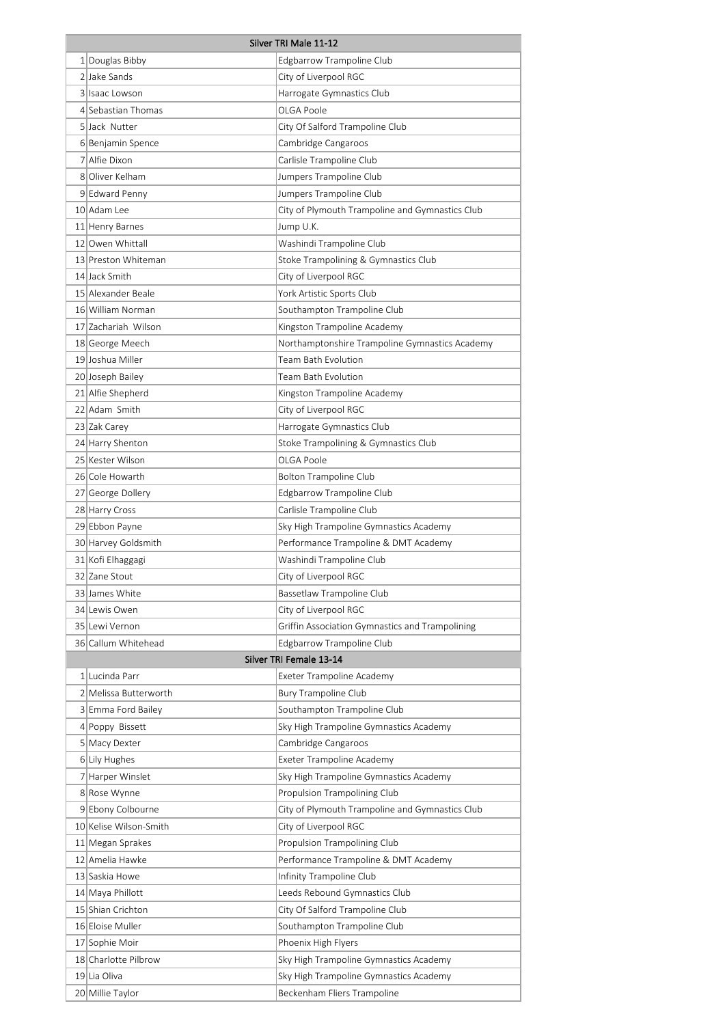| 1 Douglas Bibby<br>Edgbarrow Trampoline Club<br>2 Jake Sands<br>City of Liverpool RGC<br>3 Isaac Lowson<br>Harrogate Gymnastics Club<br>4 Sebastian Thomas<br>OLGA Poole<br>5 Jack Nutter<br>City Of Salford Trampoline Club<br>6 Benjamin Spence<br>Cambridge Cangaroos<br>7 Alfie Dixon<br>Carlisle Trampoline Club<br>8 Oliver Kelham<br>Jumpers Trampoline Club<br>Jumpers Trampoline Club<br>9 Edward Penny<br>10 Adam Lee<br>City of Plymouth Trampoline and Gymnastics Club<br>11 Henry Barnes<br>Jump U.K.<br>12 Owen Whittall<br>Washindi Trampoline Club<br>13 Preston Whiteman<br>Stoke Trampolining & Gymnastics Club<br>14 Jack Smith<br>City of Liverpool RGC<br>15 Alexander Beale<br>York Artistic Sports Club<br>16 William Norman<br>Southampton Trampoline Club<br>17 Zachariah Wilson<br>Kingston Trampoline Academy<br>18 George Meech<br>Northamptonshire Trampoline Gymnastics Academy<br>19 Joshua Miller<br>Team Bath Evolution<br>20 Joseph Bailey<br>Team Bath Evolution<br>21 Alfie Shepherd<br>Kingston Trampoline Academy<br>22 Adam Smith<br>City of Liverpool RGC<br>23 Zak Carey<br>Harrogate Gymnastics Club<br>24 Harry Shenton<br>Stoke Trampolining & Gymnastics Club<br>25 Kester Wilson<br>OLGA Poole<br>26 Cole Howarth<br><b>Bolton Trampoline Club</b><br>Edgbarrow Trampoline Club<br>27 George Dollery<br>Carlisle Trampoline Club<br>28 Harry Cross<br>Sky High Trampoline Gymnastics Academy<br>29 Ebbon Payne<br>30 Harvey Goldsmith<br>Performance Trampoline & DMT Academy<br>31 Kofi Elhaggagi<br>Washindi Trampoline Club<br>32 Zane Stout<br>City of Liverpool RGC<br>Bassetlaw Trampoline Club<br>33 James White<br>City of Liverpool RGC<br>34 Lewis Owen<br>Griffin Association Gymnastics and Trampolining<br>35 Lewi Vernon<br>36 Callum Whitehead<br>Edgbarrow Trampoline Club<br>Silver TRI Female 13-14<br>1 Lucinda Parr<br>Exeter Trampoline Academy<br>2 Melissa Butterworth<br><b>Bury Trampoline Club</b><br>3 Emma Ford Bailey<br>Southampton Trampoline Club<br>Sky High Trampoline Gymnastics Academy<br>4 Poppy Bissett<br>5 Macy Dexter<br>Cambridge Cangaroos<br>6 Lily Hughes<br>Exeter Trampoline Academy<br>7 Harper Winslet<br>Sky High Trampoline Gymnastics Academy<br>8 Rose Wynne<br>Propulsion Trampolining Club<br>9 Ebony Colbourne<br>City of Plymouth Trampoline and Gymnastics Club<br>10 Kelise Wilson-Smith<br>City of Liverpool RGC<br>11 Megan Sprakes<br>Propulsion Trampolining Club<br>12 Amelia Hawke<br>Performance Trampoline & DMT Academy<br>13 Saskia Howe<br>Infinity Trampoline Club<br>14 Maya Phillott<br>Leeds Rebound Gymnastics Club<br>15 Shian Crichton<br>City Of Salford Trampoline Club<br>16 Eloise Muller<br>Southampton Trampoline Club<br>17 Sophie Moir<br>Phoenix High Flyers<br>18 Charlotte Pilbrow<br>Sky High Trampoline Gymnastics Academy<br>19 Lia Oliva<br>Sky High Trampoline Gymnastics Academy<br>20 Millie Taylor<br>Beckenham Fliers Trampoline | Silver TRI Male 11-12 |  |  |
|----------------------------------------------------------------------------------------------------------------------------------------------------------------------------------------------------------------------------------------------------------------------------------------------------------------------------------------------------------------------------------------------------------------------------------------------------------------------------------------------------------------------------------------------------------------------------------------------------------------------------------------------------------------------------------------------------------------------------------------------------------------------------------------------------------------------------------------------------------------------------------------------------------------------------------------------------------------------------------------------------------------------------------------------------------------------------------------------------------------------------------------------------------------------------------------------------------------------------------------------------------------------------------------------------------------------------------------------------------------------------------------------------------------------------------------------------------------------------------------------------------------------------------------------------------------------------------------------------------------------------------------------------------------------------------------------------------------------------------------------------------------------------------------------------------------------------------------------------------------------------------------------------------------------------------------------------------------------------------------------------------------------------------------------------------------------------------------------------------------------------------------------------------------------------------------------------------------------------------------------------------------------------------------------------------------------------------------------------------------------------------------------------------------------------------------------------------------------------------------------------------------------------------------------------------------------------------------------------------------------------------------------------------------------------------------------------------------------------------------------------------------------------------------------------------------------------------------------------------------------------------------------------------------------------------------------------------------------------------|-----------------------|--|--|
|                                                                                                                                                                                                                                                                                                                                                                                                                                                                                                                                                                                                                                                                                                                                                                                                                                                                                                                                                                                                                                                                                                                                                                                                                                                                                                                                                                                                                                                                                                                                                                                                                                                                                                                                                                                                                                                                                                                                                                                                                                                                                                                                                                                                                                                                                                                                                                                                                                                                                                                                                                                                                                                                                                                                                                                                                                                                                                                                                                                  |                       |  |  |
|                                                                                                                                                                                                                                                                                                                                                                                                                                                                                                                                                                                                                                                                                                                                                                                                                                                                                                                                                                                                                                                                                                                                                                                                                                                                                                                                                                                                                                                                                                                                                                                                                                                                                                                                                                                                                                                                                                                                                                                                                                                                                                                                                                                                                                                                                                                                                                                                                                                                                                                                                                                                                                                                                                                                                                                                                                                                                                                                                                                  |                       |  |  |
|                                                                                                                                                                                                                                                                                                                                                                                                                                                                                                                                                                                                                                                                                                                                                                                                                                                                                                                                                                                                                                                                                                                                                                                                                                                                                                                                                                                                                                                                                                                                                                                                                                                                                                                                                                                                                                                                                                                                                                                                                                                                                                                                                                                                                                                                                                                                                                                                                                                                                                                                                                                                                                                                                                                                                                                                                                                                                                                                                                                  |                       |  |  |
|                                                                                                                                                                                                                                                                                                                                                                                                                                                                                                                                                                                                                                                                                                                                                                                                                                                                                                                                                                                                                                                                                                                                                                                                                                                                                                                                                                                                                                                                                                                                                                                                                                                                                                                                                                                                                                                                                                                                                                                                                                                                                                                                                                                                                                                                                                                                                                                                                                                                                                                                                                                                                                                                                                                                                                                                                                                                                                                                                                                  |                       |  |  |
|                                                                                                                                                                                                                                                                                                                                                                                                                                                                                                                                                                                                                                                                                                                                                                                                                                                                                                                                                                                                                                                                                                                                                                                                                                                                                                                                                                                                                                                                                                                                                                                                                                                                                                                                                                                                                                                                                                                                                                                                                                                                                                                                                                                                                                                                                                                                                                                                                                                                                                                                                                                                                                                                                                                                                                                                                                                                                                                                                                                  |                       |  |  |
|                                                                                                                                                                                                                                                                                                                                                                                                                                                                                                                                                                                                                                                                                                                                                                                                                                                                                                                                                                                                                                                                                                                                                                                                                                                                                                                                                                                                                                                                                                                                                                                                                                                                                                                                                                                                                                                                                                                                                                                                                                                                                                                                                                                                                                                                                                                                                                                                                                                                                                                                                                                                                                                                                                                                                                                                                                                                                                                                                                                  |                       |  |  |
|                                                                                                                                                                                                                                                                                                                                                                                                                                                                                                                                                                                                                                                                                                                                                                                                                                                                                                                                                                                                                                                                                                                                                                                                                                                                                                                                                                                                                                                                                                                                                                                                                                                                                                                                                                                                                                                                                                                                                                                                                                                                                                                                                                                                                                                                                                                                                                                                                                                                                                                                                                                                                                                                                                                                                                                                                                                                                                                                                                                  |                       |  |  |
|                                                                                                                                                                                                                                                                                                                                                                                                                                                                                                                                                                                                                                                                                                                                                                                                                                                                                                                                                                                                                                                                                                                                                                                                                                                                                                                                                                                                                                                                                                                                                                                                                                                                                                                                                                                                                                                                                                                                                                                                                                                                                                                                                                                                                                                                                                                                                                                                                                                                                                                                                                                                                                                                                                                                                                                                                                                                                                                                                                                  |                       |  |  |
|                                                                                                                                                                                                                                                                                                                                                                                                                                                                                                                                                                                                                                                                                                                                                                                                                                                                                                                                                                                                                                                                                                                                                                                                                                                                                                                                                                                                                                                                                                                                                                                                                                                                                                                                                                                                                                                                                                                                                                                                                                                                                                                                                                                                                                                                                                                                                                                                                                                                                                                                                                                                                                                                                                                                                                                                                                                                                                                                                                                  |                       |  |  |
|                                                                                                                                                                                                                                                                                                                                                                                                                                                                                                                                                                                                                                                                                                                                                                                                                                                                                                                                                                                                                                                                                                                                                                                                                                                                                                                                                                                                                                                                                                                                                                                                                                                                                                                                                                                                                                                                                                                                                                                                                                                                                                                                                                                                                                                                                                                                                                                                                                                                                                                                                                                                                                                                                                                                                                                                                                                                                                                                                                                  |                       |  |  |
|                                                                                                                                                                                                                                                                                                                                                                                                                                                                                                                                                                                                                                                                                                                                                                                                                                                                                                                                                                                                                                                                                                                                                                                                                                                                                                                                                                                                                                                                                                                                                                                                                                                                                                                                                                                                                                                                                                                                                                                                                                                                                                                                                                                                                                                                                                                                                                                                                                                                                                                                                                                                                                                                                                                                                                                                                                                                                                                                                                                  |                       |  |  |
|                                                                                                                                                                                                                                                                                                                                                                                                                                                                                                                                                                                                                                                                                                                                                                                                                                                                                                                                                                                                                                                                                                                                                                                                                                                                                                                                                                                                                                                                                                                                                                                                                                                                                                                                                                                                                                                                                                                                                                                                                                                                                                                                                                                                                                                                                                                                                                                                                                                                                                                                                                                                                                                                                                                                                                                                                                                                                                                                                                                  |                       |  |  |
|                                                                                                                                                                                                                                                                                                                                                                                                                                                                                                                                                                                                                                                                                                                                                                                                                                                                                                                                                                                                                                                                                                                                                                                                                                                                                                                                                                                                                                                                                                                                                                                                                                                                                                                                                                                                                                                                                                                                                                                                                                                                                                                                                                                                                                                                                                                                                                                                                                                                                                                                                                                                                                                                                                                                                                                                                                                                                                                                                                                  |                       |  |  |
|                                                                                                                                                                                                                                                                                                                                                                                                                                                                                                                                                                                                                                                                                                                                                                                                                                                                                                                                                                                                                                                                                                                                                                                                                                                                                                                                                                                                                                                                                                                                                                                                                                                                                                                                                                                                                                                                                                                                                                                                                                                                                                                                                                                                                                                                                                                                                                                                                                                                                                                                                                                                                                                                                                                                                                                                                                                                                                                                                                                  |                       |  |  |
|                                                                                                                                                                                                                                                                                                                                                                                                                                                                                                                                                                                                                                                                                                                                                                                                                                                                                                                                                                                                                                                                                                                                                                                                                                                                                                                                                                                                                                                                                                                                                                                                                                                                                                                                                                                                                                                                                                                                                                                                                                                                                                                                                                                                                                                                                                                                                                                                                                                                                                                                                                                                                                                                                                                                                                                                                                                                                                                                                                                  |                       |  |  |
|                                                                                                                                                                                                                                                                                                                                                                                                                                                                                                                                                                                                                                                                                                                                                                                                                                                                                                                                                                                                                                                                                                                                                                                                                                                                                                                                                                                                                                                                                                                                                                                                                                                                                                                                                                                                                                                                                                                                                                                                                                                                                                                                                                                                                                                                                                                                                                                                                                                                                                                                                                                                                                                                                                                                                                                                                                                                                                                                                                                  |                       |  |  |
|                                                                                                                                                                                                                                                                                                                                                                                                                                                                                                                                                                                                                                                                                                                                                                                                                                                                                                                                                                                                                                                                                                                                                                                                                                                                                                                                                                                                                                                                                                                                                                                                                                                                                                                                                                                                                                                                                                                                                                                                                                                                                                                                                                                                                                                                                                                                                                                                                                                                                                                                                                                                                                                                                                                                                                                                                                                                                                                                                                                  |                       |  |  |
|                                                                                                                                                                                                                                                                                                                                                                                                                                                                                                                                                                                                                                                                                                                                                                                                                                                                                                                                                                                                                                                                                                                                                                                                                                                                                                                                                                                                                                                                                                                                                                                                                                                                                                                                                                                                                                                                                                                                                                                                                                                                                                                                                                                                                                                                                                                                                                                                                                                                                                                                                                                                                                                                                                                                                                                                                                                                                                                                                                                  |                       |  |  |
|                                                                                                                                                                                                                                                                                                                                                                                                                                                                                                                                                                                                                                                                                                                                                                                                                                                                                                                                                                                                                                                                                                                                                                                                                                                                                                                                                                                                                                                                                                                                                                                                                                                                                                                                                                                                                                                                                                                                                                                                                                                                                                                                                                                                                                                                                                                                                                                                                                                                                                                                                                                                                                                                                                                                                                                                                                                                                                                                                                                  |                       |  |  |
|                                                                                                                                                                                                                                                                                                                                                                                                                                                                                                                                                                                                                                                                                                                                                                                                                                                                                                                                                                                                                                                                                                                                                                                                                                                                                                                                                                                                                                                                                                                                                                                                                                                                                                                                                                                                                                                                                                                                                                                                                                                                                                                                                                                                                                                                                                                                                                                                                                                                                                                                                                                                                                                                                                                                                                                                                                                                                                                                                                                  |                       |  |  |
|                                                                                                                                                                                                                                                                                                                                                                                                                                                                                                                                                                                                                                                                                                                                                                                                                                                                                                                                                                                                                                                                                                                                                                                                                                                                                                                                                                                                                                                                                                                                                                                                                                                                                                                                                                                                                                                                                                                                                                                                                                                                                                                                                                                                                                                                                                                                                                                                                                                                                                                                                                                                                                                                                                                                                                                                                                                                                                                                                                                  |                       |  |  |
|                                                                                                                                                                                                                                                                                                                                                                                                                                                                                                                                                                                                                                                                                                                                                                                                                                                                                                                                                                                                                                                                                                                                                                                                                                                                                                                                                                                                                                                                                                                                                                                                                                                                                                                                                                                                                                                                                                                                                                                                                                                                                                                                                                                                                                                                                                                                                                                                                                                                                                                                                                                                                                                                                                                                                                                                                                                                                                                                                                                  |                       |  |  |
|                                                                                                                                                                                                                                                                                                                                                                                                                                                                                                                                                                                                                                                                                                                                                                                                                                                                                                                                                                                                                                                                                                                                                                                                                                                                                                                                                                                                                                                                                                                                                                                                                                                                                                                                                                                                                                                                                                                                                                                                                                                                                                                                                                                                                                                                                                                                                                                                                                                                                                                                                                                                                                                                                                                                                                                                                                                                                                                                                                                  |                       |  |  |
|                                                                                                                                                                                                                                                                                                                                                                                                                                                                                                                                                                                                                                                                                                                                                                                                                                                                                                                                                                                                                                                                                                                                                                                                                                                                                                                                                                                                                                                                                                                                                                                                                                                                                                                                                                                                                                                                                                                                                                                                                                                                                                                                                                                                                                                                                                                                                                                                                                                                                                                                                                                                                                                                                                                                                                                                                                                                                                                                                                                  |                       |  |  |
|                                                                                                                                                                                                                                                                                                                                                                                                                                                                                                                                                                                                                                                                                                                                                                                                                                                                                                                                                                                                                                                                                                                                                                                                                                                                                                                                                                                                                                                                                                                                                                                                                                                                                                                                                                                                                                                                                                                                                                                                                                                                                                                                                                                                                                                                                                                                                                                                                                                                                                                                                                                                                                                                                                                                                                                                                                                                                                                                                                                  |                       |  |  |
|                                                                                                                                                                                                                                                                                                                                                                                                                                                                                                                                                                                                                                                                                                                                                                                                                                                                                                                                                                                                                                                                                                                                                                                                                                                                                                                                                                                                                                                                                                                                                                                                                                                                                                                                                                                                                                                                                                                                                                                                                                                                                                                                                                                                                                                                                                                                                                                                                                                                                                                                                                                                                                                                                                                                                                                                                                                                                                                                                                                  |                       |  |  |
|                                                                                                                                                                                                                                                                                                                                                                                                                                                                                                                                                                                                                                                                                                                                                                                                                                                                                                                                                                                                                                                                                                                                                                                                                                                                                                                                                                                                                                                                                                                                                                                                                                                                                                                                                                                                                                                                                                                                                                                                                                                                                                                                                                                                                                                                                                                                                                                                                                                                                                                                                                                                                                                                                                                                                                                                                                                                                                                                                                                  |                       |  |  |
|                                                                                                                                                                                                                                                                                                                                                                                                                                                                                                                                                                                                                                                                                                                                                                                                                                                                                                                                                                                                                                                                                                                                                                                                                                                                                                                                                                                                                                                                                                                                                                                                                                                                                                                                                                                                                                                                                                                                                                                                                                                                                                                                                                                                                                                                                                                                                                                                                                                                                                                                                                                                                                                                                                                                                                                                                                                                                                                                                                                  |                       |  |  |
|                                                                                                                                                                                                                                                                                                                                                                                                                                                                                                                                                                                                                                                                                                                                                                                                                                                                                                                                                                                                                                                                                                                                                                                                                                                                                                                                                                                                                                                                                                                                                                                                                                                                                                                                                                                                                                                                                                                                                                                                                                                                                                                                                                                                                                                                                                                                                                                                                                                                                                                                                                                                                                                                                                                                                                                                                                                                                                                                                                                  |                       |  |  |
|                                                                                                                                                                                                                                                                                                                                                                                                                                                                                                                                                                                                                                                                                                                                                                                                                                                                                                                                                                                                                                                                                                                                                                                                                                                                                                                                                                                                                                                                                                                                                                                                                                                                                                                                                                                                                                                                                                                                                                                                                                                                                                                                                                                                                                                                                                                                                                                                                                                                                                                                                                                                                                                                                                                                                                                                                                                                                                                                                                                  |                       |  |  |
|                                                                                                                                                                                                                                                                                                                                                                                                                                                                                                                                                                                                                                                                                                                                                                                                                                                                                                                                                                                                                                                                                                                                                                                                                                                                                                                                                                                                                                                                                                                                                                                                                                                                                                                                                                                                                                                                                                                                                                                                                                                                                                                                                                                                                                                                                                                                                                                                                                                                                                                                                                                                                                                                                                                                                                                                                                                                                                                                                                                  |                       |  |  |
|                                                                                                                                                                                                                                                                                                                                                                                                                                                                                                                                                                                                                                                                                                                                                                                                                                                                                                                                                                                                                                                                                                                                                                                                                                                                                                                                                                                                                                                                                                                                                                                                                                                                                                                                                                                                                                                                                                                                                                                                                                                                                                                                                                                                                                                                                                                                                                                                                                                                                                                                                                                                                                                                                                                                                                                                                                                                                                                                                                                  |                       |  |  |
|                                                                                                                                                                                                                                                                                                                                                                                                                                                                                                                                                                                                                                                                                                                                                                                                                                                                                                                                                                                                                                                                                                                                                                                                                                                                                                                                                                                                                                                                                                                                                                                                                                                                                                                                                                                                                                                                                                                                                                                                                                                                                                                                                                                                                                                                                                                                                                                                                                                                                                                                                                                                                                                                                                                                                                                                                                                                                                                                                                                  |                       |  |  |
|                                                                                                                                                                                                                                                                                                                                                                                                                                                                                                                                                                                                                                                                                                                                                                                                                                                                                                                                                                                                                                                                                                                                                                                                                                                                                                                                                                                                                                                                                                                                                                                                                                                                                                                                                                                                                                                                                                                                                                                                                                                                                                                                                                                                                                                                                                                                                                                                                                                                                                                                                                                                                                                                                                                                                                                                                                                                                                                                                                                  |                       |  |  |
|                                                                                                                                                                                                                                                                                                                                                                                                                                                                                                                                                                                                                                                                                                                                                                                                                                                                                                                                                                                                                                                                                                                                                                                                                                                                                                                                                                                                                                                                                                                                                                                                                                                                                                                                                                                                                                                                                                                                                                                                                                                                                                                                                                                                                                                                                                                                                                                                                                                                                                                                                                                                                                                                                                                                                                                                                                                                                                                                                                                  |                       |  |  |
|                                                                                                                                                                                                                                                                                                                                                                                                                                                                                                                                                                                                                                                                                                                                                                                                                                                                                                                                                                                                                                                                                                                                                                                                                                                                                                                                                                                                                                                                                                                                                                                                                                                                                                                                                                                                                                                                                                                                                                                                                                                                                                                                                                                                                                                                                                                                                                                                                                                                                                                                                                                                                                                                                                                                                                                                                                                                                                                                                                                  |                       |  |  |
|                                                                                                                                                                                                                                                                                                                                                                                                                                                                                                                                                                                                                                                                                                                                                                                                                                                                                                                                                                                                                                                                                                                                                                                                                                                                                                                                                                                                                                                                                                                                                                                                                                                                                                                                                                                                                                                                                                                                                                                                                                                                                                                                                                                                                                                                                                                                                                                                                                                                                                                                                                                                                                                                                                                                                                                                                                                                                                                                                                                  |                       |  |  |
|                                                                                                                                                                                                                                                                                                                                                                                                                                                                                                                                                                                                                                                                                                                                                                                                                                                                                                                                                                                                                                                                                                                                                                                                                                                                                                                                                                                                                                                                                                                                                                                                                                                                                                                                                                                                                                                                                                                                                                                                                                                                                                                                                                                                                                                                                                                                                                                                                                                                                                                                                                                                                                                                                                                                                                                                                                                                                                                                                                                  |                       |  |  |
|                                                                                                                                                                                                                                                                                                                                                                                                                                                                                                                                                                                                                                                                                                                                                                                                                                                                                                                                                                                                                                                                                                                                                                                                                                                                                                                                                                                                                                                                                                                                                                                                                                                                                                                                                                                                                                                                                                                                                                                                                                                                                                                                                                                                                                                                                                                                                                                                                                                                                                                                                                                                                                                                                                                                                                                                                                                                                                                                                                                  |                       |  |  |
|                                                                                                                                                                                                                                                                                                                                                                                                                                                                                                                                                                                                                                                                                                                                                                                                                                                                                                                                                                                                                                                                                                                                                                                                                                                                                                                                                                                                                                                                                                                                                                                                                                                                                                                                                                                                                                                                                                                                                                                                                                                                                                                                                                                                                                                                                                                                                                                                                                                                                                                                                                                                                                                                                                                                                                                                                                                                                                                                                                                  |                       |  |  |
|                                                                                                                                                                                                                                                                                                                                                                                                                                                                                                                                                                                                                                                                                                                                                                                                                                                                                                                                                                                                                                                                                                                                                                                                                                                                                                                                                                                                                                                                                                                                                                                                                                                                                                                                                                                                                                                                                                                                                                                                                                                                                                                                                                                                                                                                                                                                                                                                                                                                                                                                                                                                                                                                                                                                                                                                                                                                                                                                                                                  |                       |  |  |
|                                                                                                                                                                                                                                                                                                                                                                                                                                                                                                                                                                                                                                                                                                                                                                                                                                                                                                                                                                                                                                                                                                                                                                                                                                                                                                                                                                                                                                                                                                                                                                                                                                                                                                                                                                                                                                                                                                                                                                                                                                                                                                                                                                                                                                                                                                                                                                                                                                                                                                                                                                                                                                                                                                                                                                                                                                                                                                                                                                                  |                       |  |  |
|                                                                                                                                                                                                                                                                                                                                                                                                                                                                                                                                                                                                                                                                                                                                                                                                                                                                                                                                                                                                                                                                                                                                                                                                                                                                                                                                                                                                                                                                                                                                                                                                                                                                                                                                                                                                                                                                                                                                                                                                                                                                                                                                                                                                                                                                                                                                                                                                                                                                                                                                                                                                                                                                                                                                                                                                                                                                                                                                                                                  |                       |  |  |
|                                                                                                                                                                                                                                                                                                                                                                                                                                                                                                                                                                                                                                                                                                                                                                                                                                                                                                                                                                                                                                                                                                                                                                                                                                                                                                                                                                                                                                                                                                                                                                                                                                                                                                                                                                                                                                                                                                                                                                                                                                                                                                                                                                                                                                                                                                                                                                                                                                                                                                                                                                                                                                                                                                                                                                                                                                                                                                                                                                                  |                       |  |  |
|                                                                                                                                                                                                                                                                                                                                                                                                                                                                                                                                                                                                                                                                                                                                                                                                                                                                                                                                                                                                                                                                                                                                                                                                                                                                                                                                                                                                                                                                                                                                                                                                                                                                                                                                                                                                                                                                                                                                                                                                                                                                                                                                                                                                                                                                                                                                                                                                                                                                                                                                                                                                                                                                                                                                                                                                                                                                                                                                                                                  |                       |  |  |
|                                                                                                                                                                                                                                                                                                                                                                                                                                                                                                                                                                                                                                                                                                                                                                                                                                                                                                                                                                                                                                                                                                                                                                                                                                                                                                                                                                                                                                                                                                                                                                                                                                                                                                                                                                                                                                                                                                                                                                                                                                                                                                                                                                                                                                                                                                                                                                                                                                                                                                                                                                                                                                                                                                                                                                                                                                                                                                                                                                                  |                       |  |  |
|                                                                                                                                                                                                                                                                                                                                                                                                                                                                                                                                                                                                                                                                                                                                                                                                                                                                                                                                                                                                                                                                                                                                                                                                                                                                                                                                                                                                                                                                                                                                                                                                                                                                                                                                                                                                                                                                                                                                                                                                                                                                                                                                                                                                                                                                                                                                                                                                                                                                                                                                                                                                                                                                                                                                                                                                                                                                                                                                                                                  |                       |  |  |
|                                                                                                                                                                                                                                                                                                                                                                                                                                                                                                                                                                                                                                                                                                                                                                                                                                                                                                                                                                                                                                                                                                                                                                                                                                                                                                                                                                                                                                                                                                                                                                                                                                                                                                                                                                                                                                                                                                                                                                                                                                                                                                                                                                                                                                                                                                                                                                                                                                                                                                                                                                                                                                                                                                                                                                                                                                                                                                                                                                                  |                       |  |  |
|                                                                                                                                                                                                                                                                                                                                                                                                                                                                                                                                                                                                                                                                                                                                                                                                                                                                                                                                                                                                                                                                                                                                                                                                                                                                                                                                                                                                                                                                                                                                                                                                                                                                                                                                                                                                                                                                                                                                                                                                                                                                                                                                                                                                                                                                                                                                                                                                                                                                                                                                                                                                                                                                                                                                                                                                                                                                                                                                                                                  |                       |  |  |
|                                                                                                                                                                                                                                                                                                                                                                                                                                                                                                                                                                                                                                                                                                                                                                                                                                                                                                                                                                                                                                                                                                                                                                                                                                                                                                                                                                                                                                                                                                                                                                                                                                                                                                                                                                                                                                                                                                                                                                                                                                                                                                                                                                                                                                                                                                                                                                                                                                                                                                                                                                                                                                                                                                                                                                                                                                                                                                                                                                                  |                       |  |  |
|                                                                                                                                                                                                                                                                                                                                                                                                                                                                                                                                                                                                                                                                                                                                                                                                                                                                                                                                                                                                                                                                                                                                                                                                                                                                                                                                                                                                                                                                                                                                                                                                                                                                                                                                                                                                                                                                                                                                                                                                                                                                                                                                                                                                                                                                                                                                                                                                                                                                                                                                                                                                                                                                                                                                                                                                                                                                                                                                                                                  |                       |  |  |
|                                                                                                                                                                                                                                                                                                                                                                                                                                                                                                                                                                                                                                                                                                                                                                                                                                                                                                                                                                                                                                                                                                                                                                                                                                                                                                                                                                                                                                                                                                                                                                                                                                                                                                                                                                                                                                                                                                                                                                                                                                                                                                                                                                                                                                                                                                                                                                                                                                                                                                                                                                                                                                                                                                                                                                                                                                                                                                                                                                                  |                       |  |  |
|                                                                                                                                                                                                                                                                                                                                                                                                                                                                                                                                                                                                                                                                                                                                                                                                                                                                                                                                                                                                                                                                                                                                                                                                                                                                                                                                                                                                                                                                                                                                                                                                                                                                                                                                                                                                                                                                                                                                                                                                                                                                                                                                                                                                                                                                                                                                                                                                                                                                                                                                                                                                                                                                                                                                                                                                                                                                                                                                                                                  |                       |  |  |
|                                                                                                                                                                                                                                                                                                                                                                                                                                                                                                                                                                                                                                                                                                                                                                                                                                                                                                                                                                                                                                                                                                                                                                                                                                                                                                                                                                                                                                                                                                                                                                                                                                                                                                                                                                                                                                                                                                                                                                                                                                                                                                                                                                                                                                                                                                                                                                                                                                                                                                                                                                                                                                                                                                                                                                                                                                                                                                                                                                                  |                       |  |  |
|                                                                                                                                                                                                                                                                                                                                                                                                                                                                                                                                                                                                                                                                                                                                                                                                                                                                                                                                                                                                                                                                                                                                                                                                                                                                                                                                                                                                                                                                                                                                                                                                                                                                                                                                                                                                                                                                                                                                                                                                                                                                                                                                                                                                                                                                                                                                                                                                                                                                                                                                                                                                                                                                                                                                                                                                                                                                                                                                                                                  |                       |  |  |
|                                                                                                                                                                                                                                                                                                                                                                                                                                                                                                                                                                                                                                                                                                                                                                                                                                                                                                                                                                                                                                                                                                                                                                                                                                                                                                                                                                                                                                                                                                                                                                                                                                                                                                                                                                                                                                                                                                                                                                                                                                                                                                                                                                                                                                                                                                                                                                                                                                                                                                                                                                                                                                                                                                                                                                                                                                                                                                                                                                                  |                       |  |  |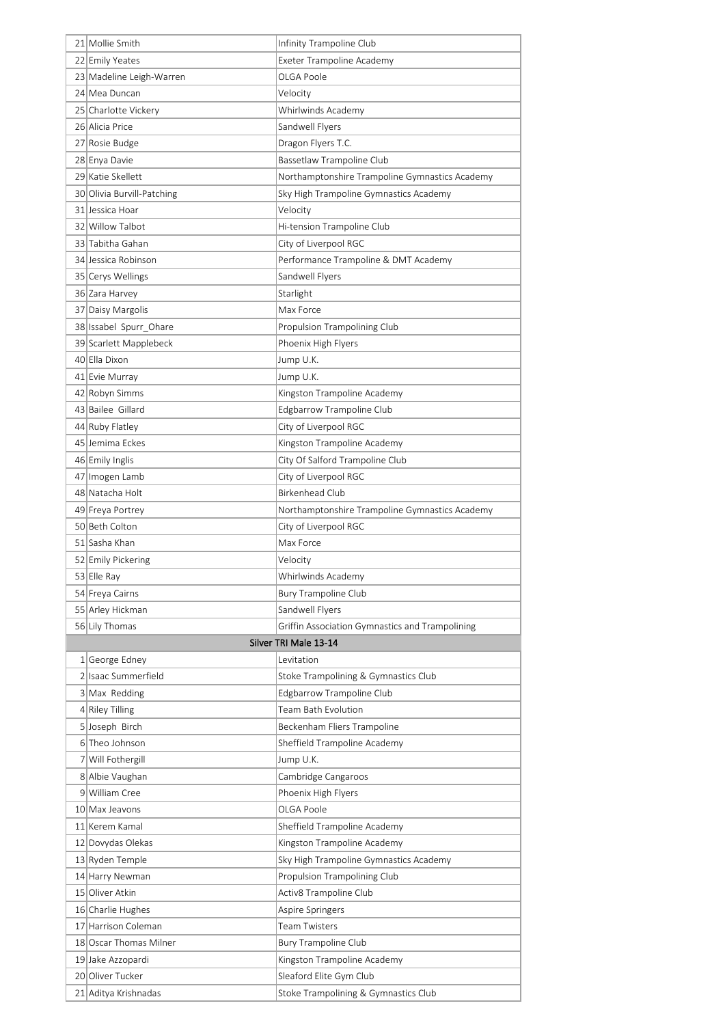| 21 Mollie Smith            | Infinity Trampoline Club                        |
|----------------------------|-------------------------------------------------|
| 22 Emily Yeates            | Exeter Trampoline Academy                       |
| 23 Madeline Leigh-Warren   | OLGA Poole                                      |
| 24 Mea Duncan              | Velocity                                        |
| 25 Charlotte Vickery       | Whirlwinds Academy                              |
| 26 Alicia Price            | Sandwell Flyers                                 |
| 27 Rosie Budge             | Dragon Flyers T.C.                              |
| 28 Enya Davie              | Bassetlaw Trampoline Club                       |
| 29 Katie Skellett          | Northamptonshire Trampoline Gymnastics Academy  |
| 30 Olivia Burvill-Patching | Sky High Trampoline Gymnastics Academy          |
| 31 Jessica Hoar            | Velocity                                        |
| 32 Willow Talbot           | Hi-tension Trampoline Club                      |
| 33 Tabitha Gahan           | City of Liverpool RGC                           |
| 34 Jessica Robinson        | Performance Trampoline & DMT Academy            |
| 35 Cerys Wellings          | Sandwell Flyers                                 |
| 36 Zara Harvey             | Starlight                                       |
| 37 Daisy Margolis          | Max Force                                       |
| 38 Issabel Spurr_Ohare     | Propulsion Trampolining Club                    |
| 39 Scarlett Mapplebeck     | Phoenix High Flyers                             |
| 40 Ella Dixon              | Jump U.K.                                       |
| 41 Evie Murray             | Jump U.K.                                       |
| 42 Robyn Simms             | Kingston Trampoline Academy                     |
| 43 Bailee Gillard          | Edgbarrow Trampoline Club                       |
| 44 Ruby Flatley            | City of Liverpool RGC                           |
| 45 Jemima Eckes            | Kingston Trampoline Academy                     |
| 46 Emily Inglis            | City Of Salford Trampoline Club                 |
| 47 Imogen Lamb             | City of Liverpool RGC                           |
| 48 Natacha Holt            | <b>Birkenhead Club</b>                          |
| 49 Freya Portrey           | Northamptonshire Trampoline Gymnastics Academy  |
| 50 Beth Colton             | City of Liverpool RGC                           |
| 51 Sasha Khan              | Max Force                                       |
| 52 Emily Pickering         | Velocity                                        |
| 53 Elle Ray                | Whirlwinds Academy                              |
| 54 Freya Cairns            | <b>Bury Trampoline Club</b>                     |
| 55 Arley Hickman           | Sandwell Flyers                                 |
| 56 Lily Thomas             | Griffin Association Gymnastics and Trampolining |
|                            | Silver TRI Male 13-14                           |
| 1 George Edney             | Levitation                                      |
| 2 Isaac Summerfield        | Stoke Trampolining & Gymnastics Club            |
| 3 Max Redding              | Edgbarrow Trampoline Club                       |
| 4 Riley Tilling            | Team Bath Evolution                             |
| 5 Joseph Birch             | Beckenham Fliers Trampoline                     |
| 6 Theo Johnson             | Sheffield Trampoline Academy                    |
| 7 Will Fothergill          | Jump U.K.                                       |
| 8 Albie Vaughan            | Cambridge Cangaroos                             |
| 9 William Cree             | Phoenix High Flyers                             |
| 10 Max Jeavons             | OLGA Poole                                      |
| 11 Kerem Kamal             | Sheffield Trampoline Academy                    |
| 12 Dovydas Olekas          | Kingston Trampoline Academy                     |
| 13 Ryden Temple            | Sky High Trampoline Gymnastics Academy          |
| 14 Harry Newman            | Propulsion Trampolining Club                    |
| 15 Oliver Atkin            | Activ8 Trampoline Club                          |
| 16 Charlie Hughes          | Aspire Springers                                |
| 17 Harrison Coleman        | <b>Team Twisters</b>                            |
| 18 Oscar Thomas Milner     | <b>Bury Trampoline Club</b>                     |
| 19 Jake Azzopardi          | Kingston Trampoline Academy                     |
| 20 Oliver Tucker           | Sleaford Elite Gym Club                         |
| 21 Aditya Krishnadas       | Stoke Trampolining & Gymnastics Club            |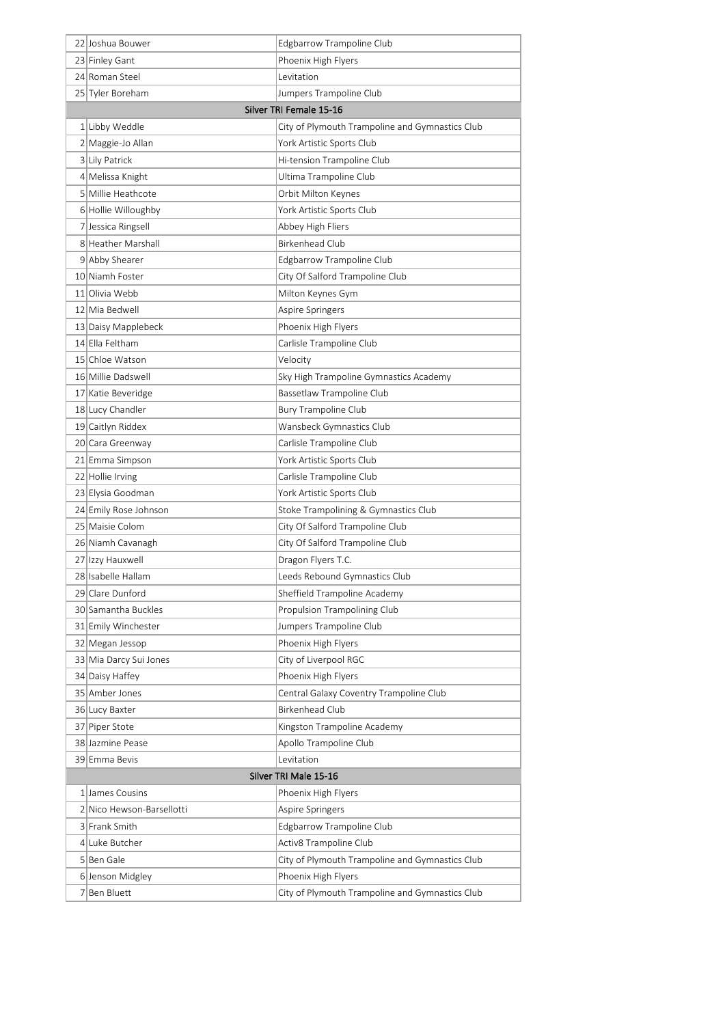| 22 Joshua Bouwer                             | Edgbarrow Trampoline Club                       |
|----------------------------------------------|-------------------------------------------------|
| 23 Finley Gant                               | Phoenix High Flyers                             |
| 24 Roman Steel                               | Levitation                                      |
| 25 Tyler Boreham                             | Jumpers Trampoline Club                         |
|                                              | Silver TRI Female 15-16                         |
| 1 Libby Weddle                               | City of Plymouth Trampoline and Gymnastics Club |
| 2 Maggie-Jo Allan                            | York Artistic Sports Club                       |
| 3 Lily Patrick                               | Hi-tension Trampoline Club                      |
| 4 Melissa Knight                             | Ultima Trampoline Club                          |
| 5 Millie Heathcote                           | Orbit Milton Keynes                             |
| 6 Hollie Willoughby                          | York Artistic Sports Club                       |
| 7 Jessica Ringsell                           | Abbey High Fliers                               |
| 8 Heather Marshall                           | <b>Birkenhead Club</b>                          |
| 9 Abby Shearer                               | Edgbarrow Trampoline Club                       |
| 10 Niamh Foster                              | City Of Salford Trampoline Club                 |
| 11 Olivia Webb                               | Milton Keynes Gym                               |
| 12 Mia Bedwell                               | Aspire Springers                                |
| 13 Daisy Mapplebeck                          | Phoenix High Flyers                             |
| 14 Ella Feltham                              | Carlisle Trampoline Club                        |
| 15 Chloe Watson                              | Velocity                                        |
| 16 Millie Dadswell                           | Sky High Trampoline Gymnastics Academy          |
| 17 Katie Beveridge                           | Bassetlaw Trampoline Club                       |
| 18 Lucy Chandler                             | <b>Bury Trampoline Club</b>                     |
| 19 Caitlyn Riddex                            | Wansbeck Gymnastics Club                        |
| 20 Cara Greenway                             | Carlisle Trampoline Club                        |
| 21 Emma Simpson                              | York Artistic Sports Club                       |
| 22 Hollie Irving                             | Carlisle Trampoline Club                        |
| 23 Elysia Goodman                            | York Artistic Sports Club                       |
| 24 Emily Rose Johnson                        | Stoke Trampolining & Gymnastics Club            |
| 25 Maisie Colom                              | City Of Salford Trampoline Club                 |
| 26 Niamh Cavanagh                            | City Of Salford Trampoline Club                 |
| 27 Izzy Hauxwell                             | Dragon Flyers T.C.                              |
| 28 Isabelle Hallam                           | Leeds Rebound Gymnastics Club                   |
| 29 Clare Dunford                             | Sheffield Trampoline Academy                    |
| 30 Samantha Buckles                          | Propulsion Trampolining Club                    |
| 31 Emily Winchester                          | Jumpers Trampoline Club                         |
| 32 Megan Jessop                              | Phoenix High Flyers                             |
| 33 Mia Darcy Sui Jones                       | City of Liverpool RGC                           |
| 34 Daisy Haffey                              | Phoenix High Flyers                             |
| 35 Amber Jones                               | Central Galaxy Coventry Trampoline Club         |
| 36 Lucy Baxter                               | Birkenhead Club                                 |
| 37 Piper Stote                               | Kingston Trampoline Academy                     |
| 38 Jazmine Pease                             | Apollo Trampoline Club                          |
| 39 Emma Bevis                                | Levitation<br>Silver TRI Male 15-16             |
|                                              |                                                 |
| 1 James Cousins<br>2 Nico Hewson-Barsellotti | Phoenix High Flyers                             |
| 3 Frank Smith                                | Aspire Springers<br>Edgbarrow Trampoline Club   |
| 4 Luke Butcher                               | Activ8 Trampoline Club                          |
| 5 Ben Gale                                   | City of Plymouth Trampoline and Gymnastics Club |
| 6 Jenson Midgley                             | Phoenix High Flyers                             |
| 7 Ben Bluett                                 | City of Plymouth Trampoline and Gymnastics Club |
|                                              |                                                 |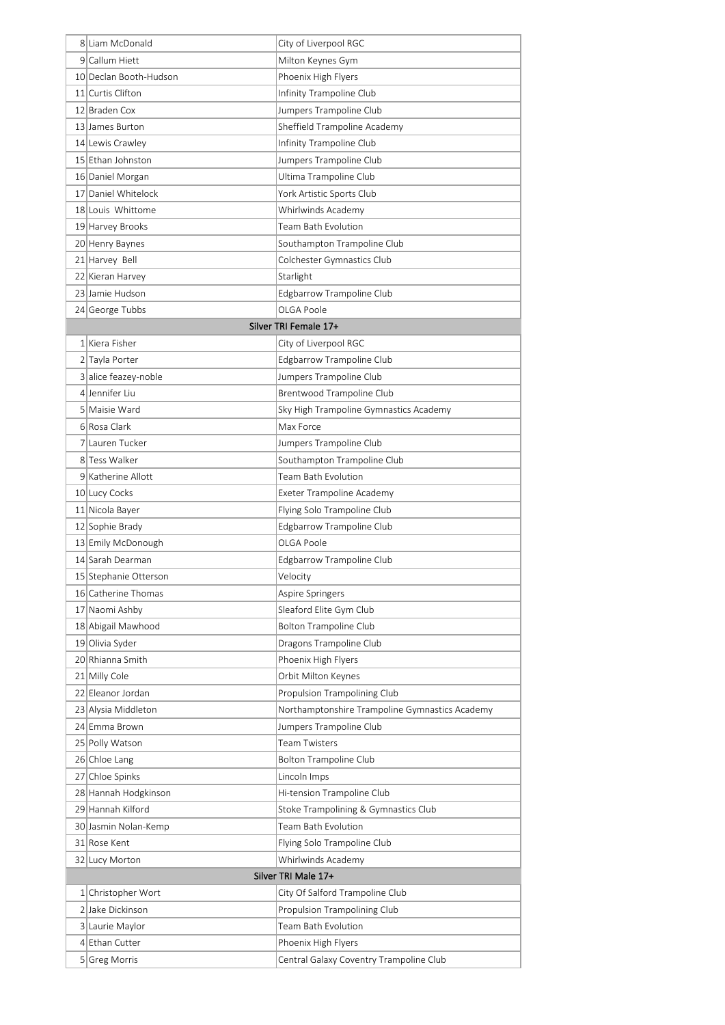| 8 Liam McDonald        | City of Liverpool RGC                          |
|------------------------|------------------------------------------------|
| 9 Callum Hiett         | Milton Keynes Gym                              |
| 10 Declan Booth-Hudson | Phoenix High Flyers                            |
| 11 Curtis Clifton      | Infinity Trampoline Club                       |
| 12 Braden Cox          | Jumpers Trampoline Club                        |
| 13 James Burton        | Sheffield Trampoline Academy                   |
| 14 Lewis Crawley       | Infinity Trampoline Club                       |
| 15 Ethan Johnston      | Jumpers Trampoline Club                        |
| 16 Daniel Morgan       | Ultima Trampoline Club                         |
| 17 Daniel Whitelock    | York Artistic Sports Club                      |
| 18 Louis Whittome      | Whirlwinds Academy                             |
| 19 Harvey Brooks       | Team Bath Evolution                            |
| 20 Henry Baynes        | Southampton Trampoline Club                    |
| 21 Harvey Bell         | Colchester Gymnastics Club                     |
| 22 Kieran Harvey       | Starlight                                      |
| 23 Jamie Hudson        | Edgbarrow Trampoline Club                      |
| 24 George Tubbs        | OLGA Poole                                     |
|                        | Silver TRI Female 17+                          |
| 1 Kiera Fisher         | City of Liverpool RGC                          |
| 2 Tayla Porter         | Edgbarrow Trampoline Club                      |
| 3 alice feazey-noble   | Jumpers Trampoline Club                        |
| 4 Jennifer Liu         | Brentwood Trampoline Club                      |
| 5 Maisie Ward          | Sky High Trampoline Gymnastics Academy         |
| 6 Rosa Clark           | Max Force                                      |
| 7 Lauren Tucker        | Jumpers Trampoline Club                        |
| 8 Tess Walker          | Southampton Trampoline Club                    |
| 9 Katherine Allott     | Team Bath Evolution                            |
| 10 Lucy Cocks          | Exeter Trampoline Academy                      |
| 11 Nicola Bayer        | Flying Solo Trampoline Club                    |
| 12 Sophie Brady        | Edgbarrow Trampoline Club                      |
| 13 Emily McDonough     | OLGA Poole                                     |
| 14 Sarah Dearman       | Edgbarrow Trampoline Club                      |
| 15 Stephanie Otterson  | Velocity                                       |
| 16 Catherine Thomas    | Aspire Springers                               |
| 17 Naomi Ashby         | Sleaford Elite Gym Club                        |
| 18 Abigail Mawhood     | <b>Bolton Trampoline Club</b>                  |
| 19 Olivia Syder        | Dragons Trampoline Club                        |
| 20 Rhianna Smith       | Phoenix High Flyers                            |
| 21 Milly Cole          | Orbit Milton Keynes                            |
| 22 Eleanor Jordan      | Propulsion Trampolining Club                   |
| 23 Alysia Middleton    | Northamptonshire Trampoline Gymnastics Academy |
| 24 Emma Brown          | Jumpers Trampoline Club                        |
| 25 Polly Watson        | Team Twisters                                  |
| 26 Chloe Lang          | Bolton Trampoline Club                         |
| 27 Chloe Spinks        | Lincoln Imps                                   |
| 28 Hannah Hodgkinson   | Hi-tension Trampoline Club                     |
| 29 Hannah Kilford      | Stoke Trampolining & Gymnastics Club           |
| 30 Jasmin Nolan-Kemp   | Team Bath Evolution                            |
| 31 Rose Kent           | Flying Solo Trampoline Club                    |
| 32 Lucy Morton         | Whirlwinds Academy                             |
|                        | Silver TRI Male 17+                            |
| 1 Christopher Wort     | City Of Salford Trampoline Club                |
| 2 Jake Dickinson       | Propulsion Trampolining Club                   |
| 3 Laurie Maylor        | Team Bath Evolution                            |
| 4 Ethan Cutter         | Phoenix High Flyers                            |
| 5 Greg Morris          | Central Galaxy Coventry Trampoline Club        |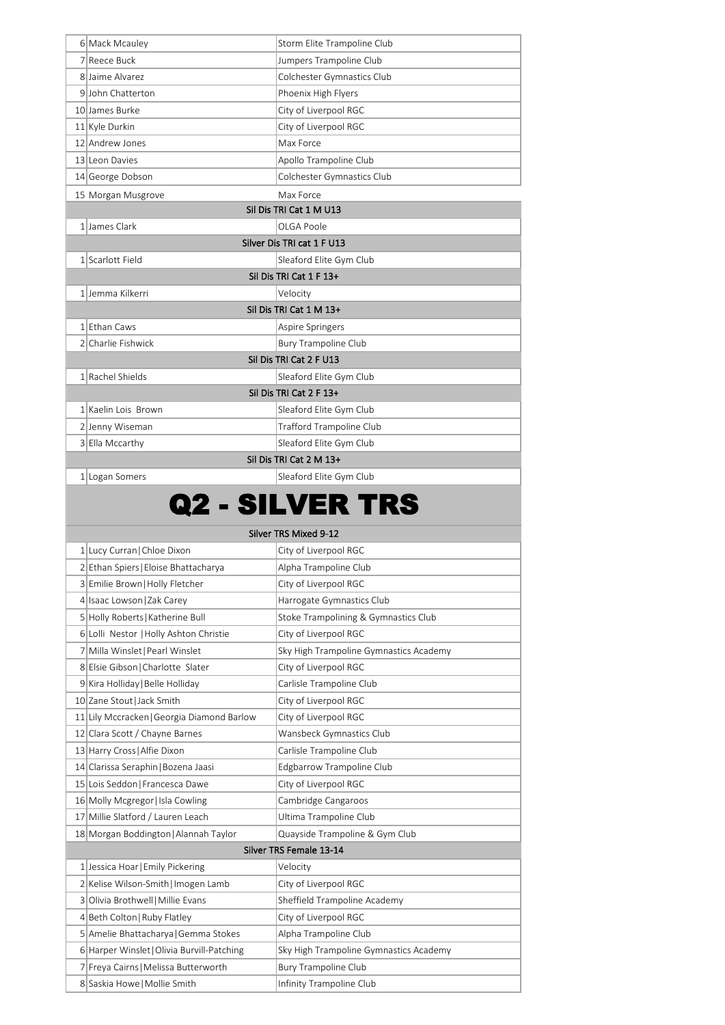| 6 Mack Mcauley                             | Storm Elite Trampoline Club            |
|--------------------------------------------|----------------------------------------|
| 7 Reece Buck                               | Jumpers Trampoline Club                |
| 8 Jaime Alvarez                            | Colchester Gymnastics Club             |
| 9 John Chatterton                          | Phoenix High Flyers                    |
| 10 James Burke                             | City of Liverpool RGC                  |
| 11 Kyle Durkin                             | City of Liverpool RGC                  |
| 12 Andrew Jones                            | Max Force                              |
| 13 Leon Davies                             | Apollo Trampoline Club                 |
|                                            |                                        |
| 14 George Dobson                           | Colchester Gymnastics Club             |
| 15 Morgan Musgrove                         | Max Force                              |
|                                            | Sil Dis TRI Cat 1 M U13                |
| 1 James Clark                              | OLGA Poole                             |
|                                            | Silver Dis TRI cat 1 F U13             |
| 1 Scarlott Field                           | Sleaford Elite Gym Club                |
|                                            | Sil Dis TRI Cat 1 F 13+                |
| 1 Jemma Kilkerri                           | Velocity                               |
|                                            | Sil Dis TRI Cat 1 M 13+                |
| 1 Ethan Caws                               | Aspire Springers                       |
| 2 Charlie Fishwick                         | <b>Bury Trampoline Club</b>            |
|                                            | Sil Dis TRI Cat 2 F U13                |
| 1 Rachel Shields                           | Sleaford Elite Gym Club                |
|                                            | Sil Dis TRI Cat 2 F 13+                |
| 1 Kaelin Lois Brown                        | Sleaford Elite Gym Club                |
| 2 Jenny Wiseman                            | Trafford Trampoline Club               |
| 3 Ella Mccarthy                            | Sleaford Elite Gym Club                |
|                                            | Sil Dis TRI Cat 2 M 13+                |
| 1 Logan Somers                             | Sleaford Elite Gym Club                |
|                                            |                                        |
|                                            | Q2 - SILVER TRS                        |
|                                            | Silver TRS Mixed 9-12                  |
| 1 Lucy Curran   Chloe Dixon                | City of Liverpool RGC                  |
| 2 Ethan Spiers   Eloise Bhattacharya       | Alpha Trampoline Club                  |
| 3 Emilie Brown   Holly Fletcher            | City of Liverpool RGC                  |
| 4 Isaac Lowson   Zak Carey                 | Harrogate Gymnastics Club              |
| 5 Holly Roberts   Katherine Bull           | Stoke Trampolining & Gymnastics Club   |
| 6 Lolli Nestor   Holly Ashton Christie     | City of Liverpool RGC                  |
| 7 Milla Winslet   Pearl Winslet            | Sky High Trampoline Gymnastics Academy |
| 8 Elsie Gibson   Charlotte Slater          | City of Liverpool RGC                  |
| 9 Kira Holliday   Belle Holliday           | Carlisle Trampoline Club               |
| 10 Zane Stout   Jack Smith                 | City of Liverpool RGC                  |
| 11 Lily Mccracken   Georgia Diamond Barlow |                                        |
|                                            | City of Liverpool RGC                  |
| 12 Clara Scott / Chayne Barnes             | Wansbeck Gymnastics Club               |
| 13 Harry Cross   Alfie Dixon               | Carlisle Trampoline Club               |
| 14 Clarissa Seraphin   Bozena Jaasi        | Edgbarrow Trampoline Club              |
| 15 Lois Seddon   Francesca Dawe            | City of Liverpool RGC                  |
| 16 Molly Mcgregor   Isla Cowling           | Cambridge Cangaroos                    |
| 17 Millie Slatford / Lauren Leach          | Ultima Trampoline Club                 |
| 18 Morgan Boddington   Alannah Taylor      | Quayside Trampoline & Gym Club         |
|                                            | Silver TRS Female 13-14                |
| 1 Jessica Hoar Emily Pickering             | Velocity                               |
| 2 Kelise Wilson-Smith   Imogen Lamb        | City of Liverpool RGC                  |
| 3 Olivia Brothwell   Millie Evans          | Sheffield Trampoline Academy           |
| 4 Beth Colton   Ruby Flatley               | City of Liverpool RGC                  |
| 5 Amelie Bhattacharya   Gemma Stokes       | Alpha Trampoline Club                  |
| 6 Harper Winslet   Olivia Burvill-Patching | Sky High Trampoline Gymnastics Academy |
| 7 Freya Cairns   Melissa Butterworth       | <b>Bury Trampoline Club</b>            |
| 8 Saskia Howe   Mollie Smith               | Infinity Trampoline Club               |
|                                            |                                        |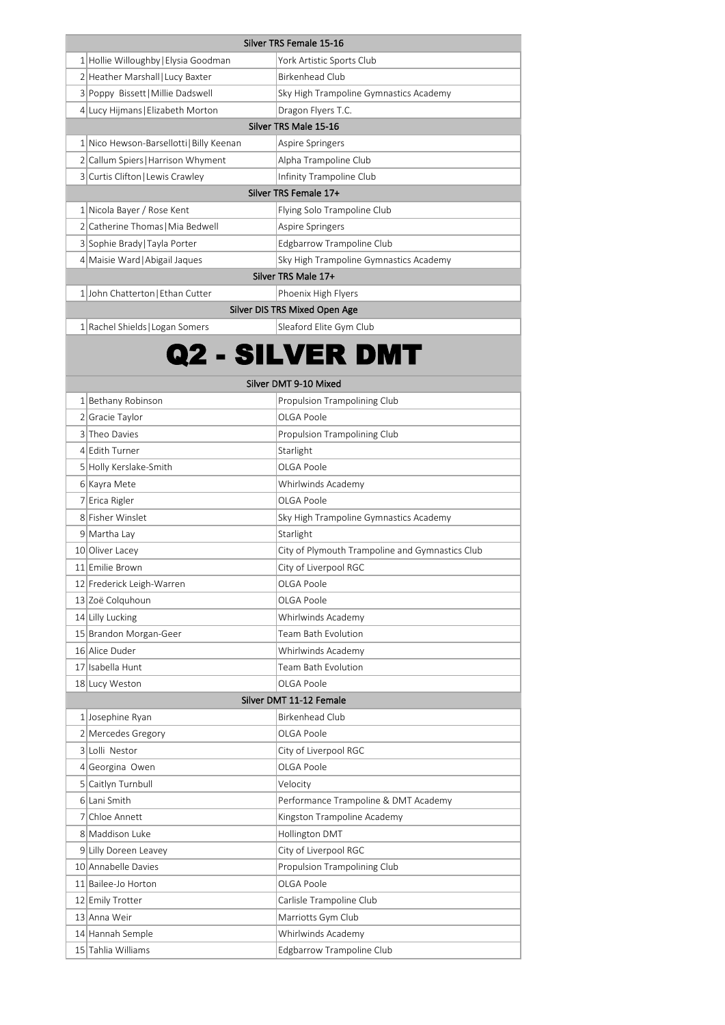| Silver TRS Female 15-16                |                                        |  |
|----------------------------------------|----------------------------------------|--|
| 1 Hollie Willoughby Elysia Goodman     | York Artistic Sports Club              |  |
| 2 Heather Marshall Lucy Baxter         | <b>Birkenhead Club</b>                 |  |
| 3 Poppy Bissett   Millie Dadswell      | Sky High Trampoline Gymnastics Academy |  |
| 4 Lucy Hijmans   Elizabeth Morton      | Dragon Flyers T.C.                     |  |
|                                        | Silver TRS Male 15-16                  |  |
| 1 Nico Hewson-Barsellotti Billy Keenan | Aspire Springers                       |  |
| 2 Callum Spiers   Harrison Whyment     | Alpha Trampoline Club                  |  |
| 3 Curtis Clifton   Lewis Crawley       | Infinity Trampoline Club               |  |
|                                        | Silver TRS Female 17+                  |  |
| 1 Nicola Bayer / Rose Kent             | Flying Solo Trampoline Club            |  |
| 2 Catherine Thomas   Mia Bedwell       | Aspire Springers                       |  |
| 3 Sophie Brady Tayla Porter            | Edgbarrow Trampoline Club              |  |
| 4 Maisie Ward Abigail Jaques           | Sky High Trampoline Gymnastics Academy |  |
| Silver TRS Male 17+                    |                                        |  |
| 1 John Chatterton   Ethan Cutter       | Phoenix High Flyers                    |  |
| Silver DIS TRS Mixed Open Age          |                                        |  |
| 1 Rachel Shields   Logan Somers        | Sleaford Elite Gym Club                |  |

## Q2 - SILVER DMT

1 Bethany Robinson **Propulsion Trampolining Club** 2 Gracie Taylor Carrier Coloration Color Color 3 Theo Davies **Propulsion Trampolining Club** 4 Edith Turner Starlight 5 Holly Kerslake-Smith COLGA Poole 6 Kayra Mete Whirlwinds Academy 7 Erica Rigler College Reserve College Reserve College Reserve College Reserve College Reserve College Reserve 8 Fisher Winslet Sky High Trampoline Gymnastics Academy 9 Martha Lay Starlight 10 Oliver Lacey **City of Plymouth Trampoline and Gymnastics Club** 11 Emilie Brown City of Liverpool RGC 12 Frederick Leigh-Warren **OLGA Poole** 13 Zoë Colquhoun **OLGA Poole** 14 Lilly Lucking **Whirlwinds Academy** 15 Brandon Morgan-Geer Team Bath Evolution 16 Alice Duder Number 2012 16 20 Whirlwinds Academy 17 Isabella Hunt Team Bath Evolution 18 Lucy Weston **OLGA Poole** 1 Josephine Ryan Birkenhead Club 2 Mercedes Gregory **DEGA Poole** 3 Lolli Nestor City of Liverpool RGC 4 Georgina Owen **OLGA Poole** 5 Caitlyn Turnbull **Canadian Communist Communist Communist Communist Communist Communist Communist Communist Communist Communist Communist Communist Communist Communist Communist Communist Communist Communist Communist Com** 6 Lani Smith **Performance Trampoline & DMT Academy** 7 Chloe Annett **Kingston Trampoline Academy** 8 Maddison Luke **Hollington DMT** 9 Lilly Doreen Leavey City of Liverpool RGC 10 Annabelle Davies **Propulsion Trampolining Club** 11 Bailee-Jo Horton **OLGA Poole** 12 Emily Trotter Carlisle Trampoline Club 13 Anna Weir **Marriotts Gym Club** 14 Hannah Semple Whirlwinds Academy Silver DMT 11-12 Female Silver DMT 9-10 Mixed

15 Tahlia Williams **Edgbarrow Trampoline Club**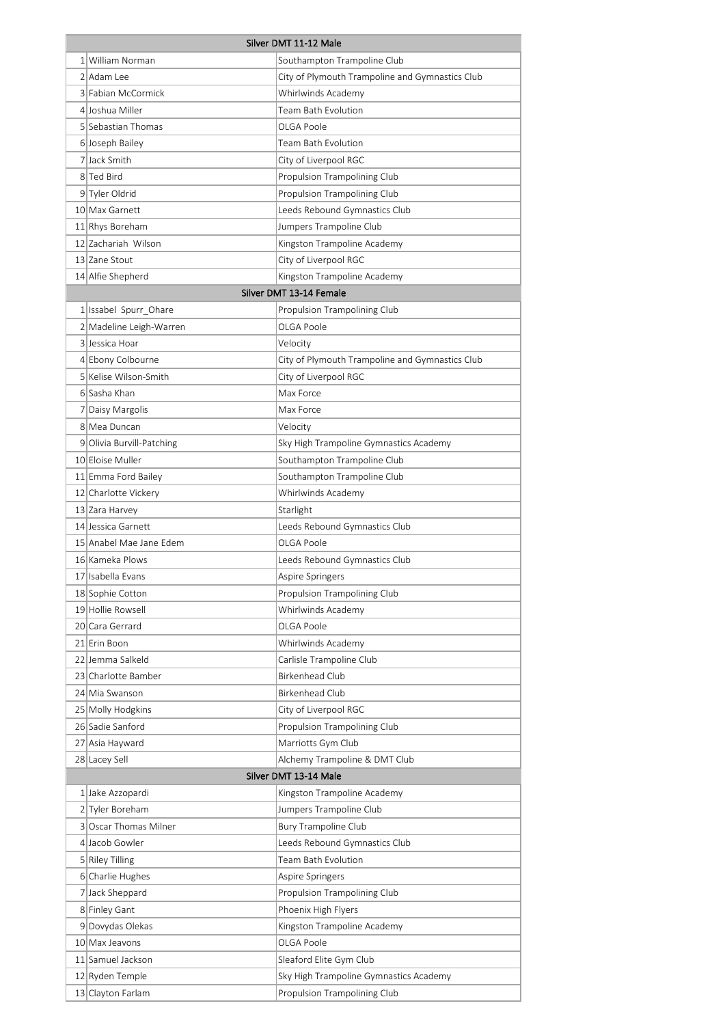| Silver DMT 11-12 Male |                                          |                                                      |
|-----------------------|------------------------------------------|------------------------------------------------------|
|                       | 1 William Norman                         | Southampton Trampoline Club                          |
|                       | 2 Adam Lee                               | City of Plymouth Trampoline and Gymnastics Club      |
|                       | 3 Fabian McCormick                       | Whirlwinds Academy                                   |
|                       | 4 Joshua Miller                          | <b>Team Bath Evolution</b>                           |
|                       | 5 Sebastian Thomas                       | OLGA Poole                                           |
|                       | 6 Joseph Bailey                          | Team Bath Evolution                                  |
|                       | 7 Jack Smith                             | City of Liverpool RGC                                |
|                       | 8 Ted Bird                               | Propulsion Trampolining Club                         |
|                       | 9 Tyler Oldrid                           | Propulsion Trampolining Club                         |
|                       | 10 Max Garnett                           | Leeds Rebound Gymnastics Club                        |
|                       | 11 Rhys Boreham                          | Jumpers Trampoline Club                              |
|                       | 12 Zachariah Wilson                      | Kingston Trampoline Academy                          |
|                       | 13 Zane Stout                            | City of Liverpool RGC                                |
|                       | 14 Alfie Shepherd                        | Kingston Trampoline Academy                          |
|                       |                                          | Silver DMT 13-14 Female                              |
|                       | 1 Issabel Spurr_Ohare                    | Propulsion Trampolining Club                         |
|                       | 2 Madeline Leigh-Warren                  | OLGA Poole                                           |
|                       | 3 Jessica Hoar                           | Velocity                                             |
|                       | 4 Ebony Colbourne                        | City of Plymouth Trampoline and Gymnastics Club      |
|                       | 5 Kelise Wilson-Smith                    | City of Liverpool RGC                                |
|                       | 6 Sasha Khan                             | Max Force                                            |
|                       | 7 Daisy Margolis                         | Max Force                                            |
|                       | 8 Mea Duncan                             | Velocity                                             |
|                       | 9 Olivia Burvill-Patching                | Sky High Trampoline Gymnastics Academy               |
|                       | 10 Eloise Muller                         | Southampton Trampoline Club                          |
|                       | 11 Emma Ford Bailey                      | Southampton Trampoline Club                          |
|                       | 12 Charlotte Vickery                     | Whirlwinds Academy                                   |
|                       | 13 Zara Harvey                           | Starlight                                            |
|                       | 14 Jessica Garnett                       | Leeds Rebound Gymnastics Club                        |
|                       | 15 Anabel Mae Jane Edem                  | OLGA Poole                                           |
|                       | 16 Kameka Plows                          | Leeds Rebound Gymnastics Club                        |
|                       | 17 Isabella Evans                        | Aspire Springers                                     |
|                       | 18 Sophie Cotton                         | Propulsion Trampolining Club                         |
|                       | 19 Hollie Rowsell                        | Whirlwinds Academy                                   |
|                       | 20 Cara Gerrard                          | OLGA Poole                                           |
|                       | 21 Erin Boon                             | Whirlwinds Academy                                   |
|                       | 22 Jemma Salkeld                         | Carlisle Trampoline Club                             |
|                       | 23 Charlotte Bamber                      | <b>Birkenhead Club</b>                               |
|                       | 24 Mia Swanson                           | <b>Birkenhead Club</b>                               |
|                       | 25 Molly Hodgkins                        | City of Liverpool RGC                                |
|                       | 26 Sadie Sanford                         | Propulsion Trampolining Club                         |
|                       | 27 Asia Hayward                          | Marriotts Gym Club                                   |
|                       | 28 Lacey Sell                            | Alchemy Trampoline & DMT Club                        |
|                       |                                          | Silver DMT 13-14 Male                                |
|                       | 1 Jake Azzopardi                         | Kingston Trampoline Academy                          |
|                       | 2 Tyler Boreham<br>3 Oscar Thomas Milner | Jumpers Trampoline Club                              |
|                       |                                          | Bury Trampoline Club                                 |
|                       | 4 Jacob Gowler                           | Leeds Rebound Gymnastics Club<br>Team Bath Evolution |
|                       | 5 Riley Tilling<br>6 Charlie Hughes      |                                                      |
|                       | 7 Jack Sheppard                          | Aspire Springers<br>Propulsion Trampolining Club     |
|                       | 8 Finley Gant                            | Phoenix High Flyers                                  |
|                       | 9 Dovydas Olekas                         |                                                      |
|                       |                                          | Kingston Trampoline Academy<br>OLGA Poole            |
|                       | 10 Max Jeavons<br>11 Samuel Jackson      | Sleaford Elite Gym Club                              |
|                       |                                          |                                                      |
|                       | 12 Ryden Temple<br>13 Clayton Farlam     | Sky High Trampoline Gymnastics Academy               |
|                       |                                          | Propulsion Trampolining Club                         |